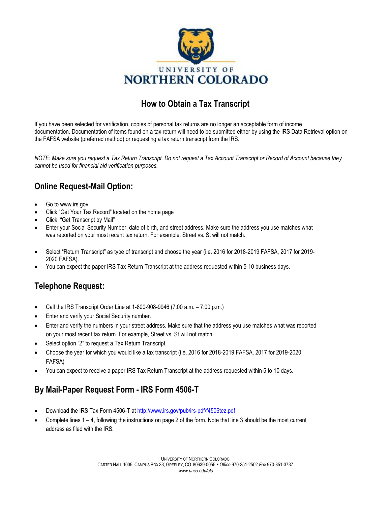

## **How to Obtain a Tax Transcript**

If you have been selected for verification, copies of personal tax returns are no longer an acceptable form of income documentation. Documentation of items found on a tax return will need to be submitted either by using the IRS Data Retrieval option on the FAFSA website (preferred method) or requesting a tax return transcript from the IRS.

*NOTE: Make sure you request a Tax Return Transcript. Do not request a Tax Account Transcript or Record of Account because they cannot be used for financial aid verification purposes.* 

## **Online Request-Mail Option:**

- Go t[o www.irs.gov](http://www.irs.gov/)
- Click "Get Your Tax Record" located on the home page
- Click "Get Transcript by Mail"
- Enter your Social Security Number, date of birth, and street address. Make sure the address you use matches what was reported on your most recent tax return. For example, Street vs. St will not match.
- Select "Return Transcript" as type of transcript and choose the year (i.e. 2016 for 2018-2019 FAFSA, 2017 for 2019- 2020 FAFSA).
- You can expect the paper IRS Tax Return Transcript at the address requested within 5-10 business days.

## **Telephone Request:**

- Call the IRS Transcript Order Line at 1-800-908-9946 (7:00 a.m. 7:00 p.m.)
- Enter and verify your Social Security number.
- Enter and verify the numbers in your street address. Make sure that the address you use matches what was reported on your most recent tax return. For example, Street vs. St will not match.
- Select option "2" to request a Tax Return Transcript.
- Choose the year for which you would like a tax transcript (i.e. 2016 for 2018-2019 FAFSA, 2017 for 2019-2020 FAFSA)
- You can expect to receive a paper IRS Tax Return Transcript at the address requested within 5 to 10 days.

## **By Mail-Paper Request Form - IRS Form 4506-T**

- Download the IRS Tax Form 4506-T at<http://www.irs.gov/pub/irs-pdf/f4506tez.pdf>
- Complete lines 1 4, following the instructions on page 2 of the form. Note that line 3 should be the most current address as filed with the IRS.